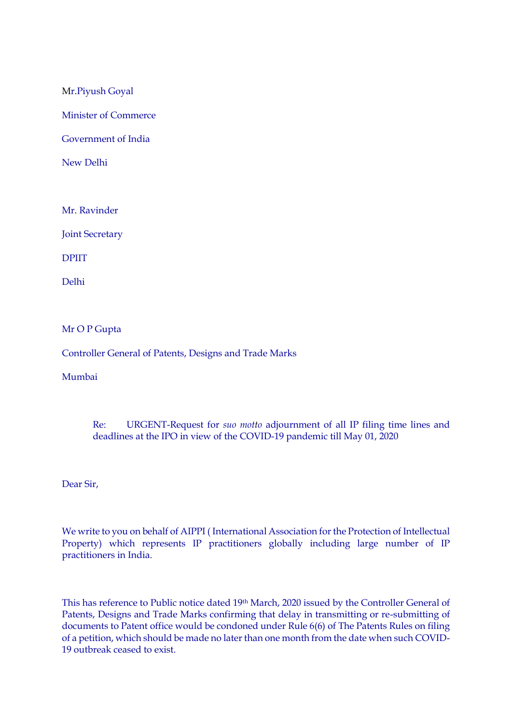Mr.Piyush Goyal

Minister of Commerce

Government of India

New Delhi

Mr. Ravinder

Joint Secretary

DPIIT

Delhi

## Mr O P Gupta

Controller General of Patents, Designs and Trade Marks

Mumbai

## Re: URGENT-Request for *suo motto* adjournment of all IP filing time lines and deadlines at the IPO in view of the COVID-19 pandemic till May 01, 2020

Dear Sir,

We write to you on behalf of AIPPI ( International Association for the Protection of Intellectual Property) which represents IP practitioners globally including large number of IP practitioners in India.

This has reference to Public notice dated 19th March, 2020 issued by the Controller General of Patents, Designs and Trade Marks confirming that delay in transmitting or re-submitting of documents to Patent office would be condoned under Rule 6(6) of The Patents Rules on filing of a petition, which should be made no later than one month from the date when such COVID-19 outbreak ceased to exist.